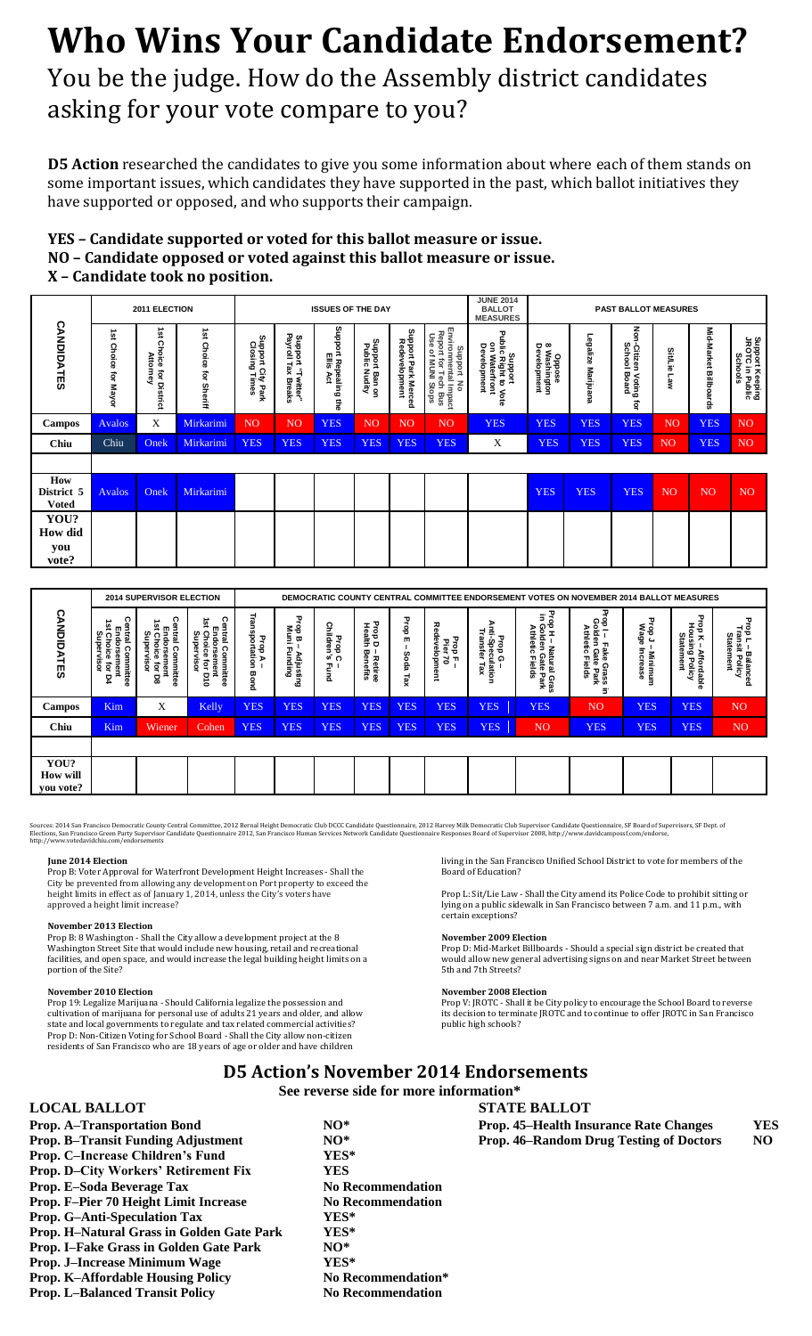# **Who Wins Your Candidate Endorsement?**

You be the judge. How do the Assembly district candidates asking for your vote compare to you?

**D5 Action** researched the candidates to give you some information about where each of them stands on some important issues, which candidates they have supported in the past, which ballot initiatives they have supported or opposed, and who supports their campaign.

# **YES – Candidate supported or voted for this ballot measure or issue. NO – Candidate opposed or voted against this ballot measure or issue. X – Candidate took no position.**

| 2011 ELECTION                                                                                                                                                                                                                                                                                                                                                                                                                                                                                                                                     |                                                                                                     |                                                |                                                                                                                                                                                                                                                                                                                                                                                                                                                                                                                                                                                                                                                                                                                                                                                                                                                                                                                                   |                                                  | <b>ISSUES OF THE DAY</b>                |                                                                        |                                                |                                                                                                        |                                                                                | <b>JUNE 2014</b><br><b>BALLOT</b><br><b>MEASURES</b>                                                                                                                                                                                                                                                                                                                                                                                                                                                                                                                                                                                                                                                                                                               | PAST BALLOT MEASURES                                            |                                                                   |                                          |                |                                                                 |                                                      |
|---------------------------------------------------------------------------------------------------------------------------------------------------------------------------------------------------------------------------------------------------------------------------------------------------------------------------------------------------------------------------------------------------------------------------------------------------------------------------------------------------------------------------------------------------|-----------------------------------------------------------------------------------------------------|------------------------------------------------|-----------------------------------------------------------------------------------------------------------------------------------------------------------------------------------------------------------------------------------------------------------------------------------------------------------------------------------------------------------------------------------------------------------------------------------------------------------------------------------------------------------------------------------------------------------------------------------------------------------------------------------------------------------------------------------------------------------------------------------------------------------------------------------------------------------------------------------------------------------------------------------------------------------------------------------|--------------------------------------------------|-----------------------------------------|------------------------------------------------------------------------|------------------------------------------------|--------------------------------------------------------------------------------------------------------|--------------------------------------------------------------------------------|--------------------------------------------------------------------------------------------------------------------------------------------------------------------------------------------------------------------------------------------------------------------------------------------------------------------------------------------------------------------------------------------------------------------------------------------------------------------------------------------------------------------------------------------------------------------------------------------------------------------------------------------------------------------------------------------------------------------------------------------------------------------|-----------------------------------------------------------------|-------------------------------------------------------------------|------------------------------------------|----------------|-----------------------------------------------------------------|------------------------------------------------------|
| <b>CANDIDATES</b>                                                                                                                                                                                                                                                                                                                                                                                                                                                                                                                                 | 1st Choice for Mayor                                                                                | 1st Choice for District<br>Attorney            | 1st Choice for Sheriff                                                                                                                                                                                                                                                                                                                                                                                                                                                                                                                                                                                                                                                                                                                                                                                                                                                                                                            | Support City Park<br>Closing Times               | Support "Twitter"<br>Payroll Tax Breaks | Support Repealing the<br>Ellis Act                                     | Support Ban on<br>Public Nudity                | Support Park Merced<br>Redevelopment                                                                   | Environmental Impact<br>Report for Tech Bus<br>Use of MUNI Stops<br>Support No | Support<br>Public Right to Vote<br>on Waterfront<br>Development                                                                                                                                                                                                                                                                                                                                                                                                                                                                                                                                                                                                                                                                                                    | Oppose<br>8 Washington<br>Development                           | Legalize Marijuana                                                | Non-Citizen Voting<br>School Board<br>ត្ | Sit/Lie<br>Law | Mid-Market Billboards                                           | Support Keeping<br>JROTC in Public<br><b>Schools</b> |
| Campos                                                                                                                                                                                                                                                                                                                                                                                                                                                                                                                                            | Avalos                                                                                              | X                                              | Mirkarimi                                                                                                                                                                                                                                                                                                                                                                                                                                                                                                                                                                                                                                                                                                                                                                                                                                                                                                                         | N <sub>O</sub>                                   | <sub>NO</sub>                           | <b>YES</b>                                                             | N <sub>O</sub>                                 | N <sub>O</sub>                                                                                         | N <sub>O</sub>                                                                 | <b>YES</b>                                                                                                                                                                                                                                                                                                                                                                                                                                                                                                                                                                                                                                                                                                                                                         | <b>YES</b>                                                      | <b>YES</b>                                                        | <b>YES</b>                               | NO             | <b>YES</b>                                                      | NO.                                                  |
| <b>Chiu</b>                                                                                                                                                                                                                                                                                                                                                                                                                                                                                                                                       | Chiu                                                                                                | Onek                                           | Mirkarimi                                                                                                                                                                                                                                                                                                                                                                                                                                                                                                                                                                                                                                                                                                                                                                                                                                                                                                                         | <b>YES</b>                                       | <b>YES</b>                              | <b>YES</b>                                                             | <b>YES</b>                                     | <b>YES</b>                                                                                             | <b>YES</b>                                                                     | X                                                                                                                                                                                                                                                                                                                                                                                                                                                                                                                                                                                                                                                                                                                                                                  | <b>YES</b>                                                      | <b>YES</b>                                                        | <b>YES</b>                               | N <sub>O</sub> | <b>YES</b>                                                      | N <sub>O</sub>                                       |
| How<br>District 5<br><b>Voted</b>                                                                                                                                                                                                                                                                                                                                                                                                                                                                                                                 | <b>Avalos</b>                                                                                       | Onek                                           | Mirkarimi                                                                                                                                                                                                                                                                                                                                                                                                                                                                                                                                                                                                                                                                                                                                                                                                                                                                                                                         |                                                  |                                         |                                                                        |                                                |                                                                                                        |                                                                                |                                                                                                                                                                                                                                                                                                                                                                                                                                                                                                                                                                                                                                                                                                                                                                    | <b>YES</b>                                                      | <b>YES</b>                                                        | <b>YES</b>                               | N <sub>O</sub> | N <sub>O</sub>                                                  | NO                                                   |
| YOU?<br><b>How</b> did<br>you<br>vote?                                                                                                                                                                                                                                                                                                                                                                                                                                                                                                            |                                                                                                     |                                                |                                                                                                                                                                                                                                                                                                                                                                                                                                                                                                                                                                                                                                                                                                                                                                                                                                                                                                                                   |                                                  |                                         |                                                                        |                                                |                                                                                                        |                                                                                |                                                                                                                                                                                                                                                                                                                                                                                                                                                                                                                                                                                                                                                                                                                                                                    |                                                                 |                                                                   |                                          |                |                                                                 |                                                      |
|                                                                                                                                                                                                                                                                                                                                                                                                                                                                                                                                                   |                                                                                                     |                                                |                                                                                                                                                                                                                                                                                                                                                                                                                                                                                                                                                                                                                                                                                                                                                                                                                                                                                                                                   |                                                  |                                         |                                                                        |                                                |                                                                                                        |                                                                                |                                                                                                                                                                                                                                                                                                                                                                                                                                                                                                                                                                                                                                                                                                                                                                    |                                                                 |                                                                   |                                          |                |                                                                 |                                                      |
|                                                                                                                                                                                                                                                                                                                                                                                                                                                                                                                                                   |                                                                                                     |                                                | 2014 SUPERVISOR ELECTION                                                                                                                                                                                                                                                                                                                                                                                                                                                                                                                                                                                                                                                                                                                                                                                                                                                                                                          |                                                  |                                         |                                                                        |                                                |                                                                                                        |                                                                                | DEMOCRATIC COUNTY CENTRAL COMMITTEE ENDORSEMENT VOTES ON NOVEMBER 2014 BALLOT MEASURES                                                                                                                                                                                                                                                                                                                                                                                                                                                                                                                                                                                                                                                                             |                                                                 |                                                                   |                                          |                |                                                                 |                                                      |
| CANDIDATES                                                                                                                                                                                                                                                                                                                                                                                                                                                                                                                                        | Central Committee<br>Endorsement<br>1st Choice for D4<br>Supervisor                                 | 1st Choice for D8<br>Supervisor<br>Endorsement | <b>Central Committee</b><br>Central Committee<br>Endorsement<br>1st Choice for D10<br>Supervisor                                                                                                                                                                                                                                                                                                                                                                                                                                                                                                                                                                                                                                                                                                                                                                                                                                  | <b>Transportation Bond</b><br>Prop.<br>$\lambda$ | Prop B – Adjusting<br>Muni Funding      | Prop C –<br>Children's Fund                                            | Prop D – Retires<br>Health Benefits<br>Retiree | Prop E-Soda Tax                                                                                        | Redevelopment<br>Prop F-<br>Pier 70                                            | Anti-Speculation<br>Transfer Tax<br>Prop G-                                                                                                                                                                                                                                                                                                                                                                                                                                                                                                                                                                                                                                                                                                                        | Prop H – Natural Gras<br>in Golden Gate Park<br>Athletic Fields | Prop I – Fake Grass i<br>Golden Gate Park<br>Athletic Fields<br>3 | Prop J – Minimum<br>Wage Increase        | Statement      | <b>Prop K – Affordat</b><br>Housing Policy<br><b>Affordable</b> | Prop L – Balanced<br>Transit Policy<br>Statement     |
| Campos                                                                                                                                                                                                                                                                                                                                                                                                                                                                                                                                            | Kim                                                                                                 | X                                              | Kelly                                                                                                                                                                                                                                                                                                                                                                                                                                                                                                                                                                                                                                                                                                                                                                                                                                                                                                                             | <b>YES</b>                                       | <b>YES</b>                              | <b>YES</b>                                                             | <b>YES</b>                                     | <b>YES</b>                                                                                             | <b>YES</b>                                                                     | <b>YES</b>                                                                                                                                                                                                                                                                                                                                                                                                                                                                                                                                                                                                                                                                                                                                                         | <b>YES</b>                                                      | NO                                                                | <b>YES</b>                               |                | <b>YES</b>                                                      | N <sub>O</sub>                                       |
| <b>Chiu</b>                                                                                                                                                                                                                                                                                                                                                                                                                                                                                                                                       | Kim                                                                                                 | Wiener                                         | Cohen                                                                                                                                                                                                                                                                                                                                                                                                                                                                                                                                                                                                                                                                                                                                                                                                                                                                                                                             | <b>YES</b>                                       | <b>YES</b>                              | <b>YES</b>                                                             | <b>YES</b>                                     | <b>YES</b>                                                                                             | <b>YES</b>                                                                     | <b>YES</b>                                                                                                                                                                                                                                                                                                                                                                                                                                                                                                                                                                                                                                                                                                                                                         | N <sub>O</sub>                                                  | <b>YES</b>                                                        | <b>YES</b>                               |                | <b>YES</b>                                                      | N <sub>O</sub>                                       |
| YOU?<br><b>How will</b><br>you vote?                                                                                                                                                                                                                                                                                                                                                                                                                                                                                                              |                                                                                                     |                                                |                                                                                                                                                                                                                                                                                                                                                                                                                                                                                                                                                                                                                                                                                                                                                                                                                                                                                                                                   |                                                  |                                         |                                                                        |                                                |                                                                                                        |                                                                                |                                                                                                                                                                                                                                                                                                                                                                                                                                                                                                                                                                                                                                                                                                                                                                    |                                                                 |                                                                   |                                          |                |                                                                 |                                                      |
| Sources: 2014 San Francisco Democratic County Central Committee, 2012 Bernal Height Democratic Club DCCC Candidate Questionnaire, 2012 Harvey Milk Democratic Club Supervisor Candidate Questionnaire, SF Board of Supervisors<br>Elections, San Francisco Green Party Supervisor Candidate Questionnaire 2012, San Francisco Human Services Network Candidate Questionnaire Responses Board of Supervisor 2008, http://www.davidcampossf.com/endorse,<br>http://www.votedavidchiu.com/endorsements<br>June 2014 Election<br>portion of the Site? | approved a height limit increase?<br><b>November 2013 Election</b><br><b>November 2010 Election</b> |                                                | Prop B: Voter Approval for Waterfront Development Height Increases - Shall the<br>City be prevented from allowing any development on Port property to exceed the<br>height limits in effect as of January 1, 2014, unless the City's voters have<br>Prop B: 8 Washington - Shall the City allow a development project at the 8<br>Washington Street Site that would include new housing, retail and recreational<br>facilities, and open space, and would increase the legal building height limits on a<br>Prop 19: Legalize Marijuana - Should California legalize the possession and<br>cultivation of marijuana for personal use of adults 21 years and older, and allow<br>state and local governments to regulate and tax related commercial activities?<br>Prop D: Non-Citizen Voting for School Board - Shall the City allow non-citizen<br>residents of San Francisco who are 18 years of age or older and have children |                                                  |                                         |                                                                        |                                                |                                                                                                        |                                                                                | living in the San Francisco Unified School District to vote for members of the<br><b>Board of Education?</b><br>Prop L: Sit/Lie Law - Shall the City amend its Police Code to prohibit sitting or<br>lying on a public sidewalk in San Francisco between 7 a.m. and 11 p.m., with<br>certain exceptions?<br><b>November 2009 Election</b><br>Prop D: Mid-Market Billboards - Should a special sign district be created that<br>would allow new general advertising signs on and near Market Street between<br>5th and 7th Streets?<br><b>November 2008 Election</b><br>Prop V: JROTC - Shall it be City policy to encourage the School Board to reverse<br>its decision to terminate JROTC and to continue to offer JROTC in San Francisco<br>public high schools? |                                                                 |                                                                   |                                          |                |                                                                 |                                                      |
|                                                                                                                                                                                                                                                                                                                                                                                                                                                                                                                                                   |                                                                                                     |                                                |                                                                                                                                                                                                                                                                                                                                                                                                                                                                                                                                                                                                                                                                                                                                                                                                                                                                                                                                   |                                                  |                                         |                                                                        |                                                |                                                                                                        |                                                                                | <b>D5 Action's November 2014 Endorsements</b><br>See reverse side for more information*                                                                                                                                                                                                                                                                                                                                                                                                                                                                                                                                                                                                                                                                            |                                                                 |                                                                   |                                          |                |                                                                 |                                                      |
| <b>LOCAL BALLOT</b><br><b>Prop. A-Transportation Bond</b><br>Prop. B-Transit Funding Adjustment<br>Prop. C-Increase Children's Fund<br>Prop. D–City Workers' Retirement Fix<br>Prop. E-Soda Beverage Tax<br>Prop. F-Pier 70 Height Limit Increase<br>Prop. G-Anti-Speculation Tax<br>Prop. H-Natural Grass in Golden Gate Park<br>Prop. I–Fake Grass in Golden Gate Park<br>Prop. J-Increase Minimum Wage<br><b>Prop. K-Affordable Housing Policy</b><br><b>Prop. L-Balanced Transit Policy</b>                                                   |                                                                                                     |                                                |                                                                                                                                                                                                                                                                                                                                                                                                                                                                                                                                                                                                                                                                                                                                                                                                                                                                                                                                   |                                                  |                                         | $NO^*$<br>$NO*$<br>YES*<br><b>YES</b><br>YES*<br>YES*<br>$NO*$<br>YES* |                                                | <b>No Recommendation</b><br><b>No Recommendation</b><br>No Recommendation*<br><b>No Recommendation</b> |                                                                                | <b>STATE BALLOT</b><br>Prop. 45-Health Insurance Rate Changes<br><b>Prop. 46–Random Drug Testing of Doctors</b>                                                                                                                                                                                                                                                                                                                                                                                                                                                                                                                                                                                                                                                    |                                                                 |                                                                   |                                          |                |                                                                 | YE<br>N <sub>C</sub>                                 |

|                                      |                                                                                | <b>2014 SUPERVISOR ELECTION</b>                                                | DEMOCRATIC COUNTY CENTRAL COMMITTEE ENDORSEMENT VOTES ON NOVEMBER 2014 BALLOT MEASURES |                                            |                                                       |                              |                                                                                |                       |                                                             |                                              |                                                                                                 |                                                                                                            |                                                  |                                                                             |                                                                       |
|--------------------------------------|--------------------------------------------------------------------------------|--------------------------------------------------------------------------------|----------------------------------------------------------------------------------------|--------------------------------------------|-------------------------------------------------------|------------------------------|--------------------------------------------------------------------------------|-----------------------|-------------------------------------------------------------|----------------------------------------------|-------------------------------------------------------------------------------------------------|------------------------------------------------------------------------------------------------------------|--------------------------------------------------|-----------------------------------------------------------------------------|-----------------------------------------------------------------------|
| <b>CANDIDATES</b>                    | Central<br>ä<br>m<br>Supervisor<br>ndorsemen<br>Choice<br>Committee<br>ត្<br>2 | Central<br>ä<br>Endorsement<br>st Choice for D<br>Supervisor<br>Committee<br>ᄝ | <b>Central Committee</b><br>ist<br>Endorsement<br>it Choice for D'<br>Supervisor<br>믕  | Тran<br>용<br>᠊ᠣ<br>ortation<br>욖<br>쭝<br>휸 | ᠊ᠣ<br>ee<br>Ee<br>m,<br>Adjustin<br>-<br>-unding<br>ه | Prop C<br>Children's<br>Eand | Prop D<br>Health<br>$\overline{\mathbf{w}}$ i<br>Reti<br>S<br>etiree<br>nefits | 공<br>m<br>Soda<br>Lax | ᅍ<br>$\ddot{\mathbf{c}}$<br>developm<br>물름<br>경 구<br>Ф<br>쿄 | Prop G –<br>Anti-Speculation<br>Transfer Tax | 굽<br>Ξ<br>pp H – Na<br>Golden (<br>Athletic<br>Natural<br>Gate<br><b>Fields</b><br>Park<br>Gras | 꾸<br>op I – F<br>Golden<br><b>Athletic</b><br>'n<br>ake)<br>ດ<br>a<br>8<br>Fields<br>Grass<br>ie Park<br>Ξ | ᠊ᠣ<br><b>Nage</b><br>Page<br>Increase<br>Minimum | Prop K – Afford<br>Housing Polic<br>Statement<br><b>Affordable</b><br>olicy | 코를<br>rp L – Balanced<br>ransit Policy<br>Statement<br>$\overline{a}$ |
| Campos                               | <b>Kim</b>                                                                     | X                                                                              | Kelly                                                                                  | <b>YES</b>                                 | <b>YES</b>                                            | <b>YES</b>                   | <b>YES</b>                                                                     | <b>YES</b>            | <b>YES</b>                                                  | <b>YES</b>                                   | <b>YES</b>                                                                                      | N <sub>O</sub>                                                                                             | <b>YES</b>                                       | <b>YES</b>                                                                  | N <sub>O</sub>                                                        |
| <b>Chiu</b>                          | <b>Kim</b>                                                                     | Wiener                                                                         | Cohen                                                                                  | <b>YES</b>                                 | <b>YES</b>                                            | <b>YES</b>                   | <b>YES</b>                                                                     | <b>YES</b>            | <b>YES</b>                                                  | <b>YES</b>                                   | <b>NO</b>                                                                                       | <b>YES</b>                                                                                                 | <b>YES</b>                                       | <b>YES</b>                                                                  | <b>NO</b>                                                             |
|                                      |                                                                                |                                                                                |                                                                                        |                                            |                                                       |                              |                                                                                |                       |                                                             |                                              |                                                                                                 |                                                                                                            |                                                  |                                                                             |                                                                       |
| YOU?<br><b>How will</b><br>vou vote? |                                                                                |                                                                                |                                                                                        |                                            |                                                       |                              |                                                                                |                       |                                                             |                                              |                                                                                                 |                                                                                                            |                                                  |                                                                             |                                                                       |

## **June 2014 Election**

## **November 2013 Election**

## **November 2010 Election**

#### **November 2009 Election**

#### **November 2008 Election**

# **D5 Action's November 2014 Endorsements**

# **LOCAL BALLOT STATE BALLOT**

| Prop. A–Transportation Bond        | $NO^*$ | <b>Prop. 45–Health Insurance Rate Changes</b>  | YES |
|------------------------------------|--------|------------------------------------------------|-----|
| Prop. B–Transit Funding Adjustment | NO*    | <b>Prop. 46–Random Drug Testing of Doctors</b> | NO  |
|                                    |        |                                                |     |

| Prop. A–Transportation Bond                   | $N()^*$                  | Prop. 45–Health Insurance Rate Changes         | YЕ             |
|-----------------------------------------------|--------------------------|------------------------------------------------|----------------|
| <b>Prop. B-Transit Funding Adjustment</b>     | $NO^*$                   | <b>Prop. 46–Random Drug Testing of Doctors</b> | N <sub>O</sub> |
| <b>Prop. C-Increase Children's Fund</b>       | YES*                     |                                                |                |
| <b>Prop. D-City Workers' Retirement Fix</b>   | YES                      |                                                |                |
| <b>Prop. E-Soda Beverage Tax</b>              | <b>No Recommendation</b> |                                                |                |
| <b>Prop. F-Pier 70 Height Limit Increase</b>  | <b>No Recommendation</b> |                                                |                |
| <b>Prop. G-Anti-Speculation Tax</b>           | YES*                     |                                                |                |
| Prop. H-Natural Grass in Golden Gate Park     | YES*                     |                                                |                |
| <b>Prop. I–Fake Grass in Golden Gate Park</b> | $NO^*$                   |                                                |                |
| <b>Prop. J–Increase Minimum Wage</b>          | YES*                     |                                                |                |
| <b>Prop. K-Affordable Housing Policy</b>      | No Recommendation*       |                                                |                |
| <b>Drop I</b> Relational Transit Doliou       | No Docommondation        |                                                |                |